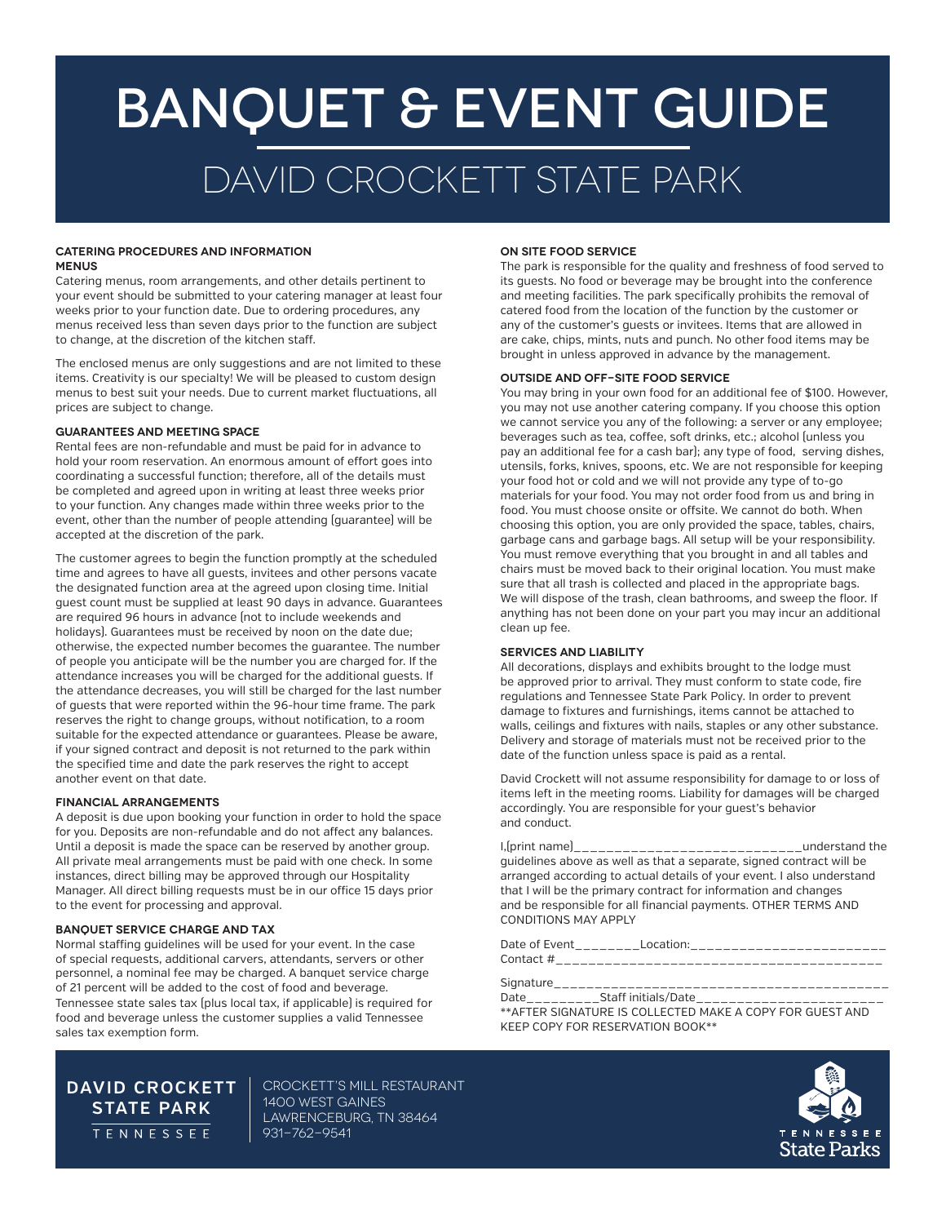# BANQUET & Event GUIDE david Crockett STATE PARK

#### **CATERING PROCEDURES AND INFORMATION MENUS**

Catering menus, room arrangements, and other details pertinent to your event should be submitted to your catering manager at least four weeks prior to your function date. Due to ordering procedures, any menus received less than seven days prior to the function are subject to change, at the discretion of the kitchen staff.

The enclosed menus are only suggestions and are not limited to these items. Creativity is our specialty! We will be pleased to custom design menus to best suit your needs. Due to current market fluctuations, all prices are subject to change.

#### **GUARANTEES AND MEETING SPACE**

Rental fees are non-refundable and must be paid for in advance to hold your room reservation. An enormous amount of effort goes into coordinating a successful function; therefore, all of the details must be completed and agreed upon in writing at least three weeks prior to your function. Any changes made within three weeks prior to the event, other than the number of people attending (guarantee) will be accepted at the discretion of the park.

The customer agrees to begin the function promptly at the scheduled time and agrees to have all guests, invitees and other persons vacate the designated function area at the agreed upon closing time. Initial guest count must be supplied at least 90 days in advance. Guarantees are required 96 hours in advance (not to include weekends and holidays). Guarantees must be received by noon on the date due; otherwise, the expected number becomes the guarantee. The number of people you anticipate will be the number you are charged for. If the attendance increases you will be charged for the additional guests. If the attendance decreases, you will still be charged for the last number of guests that were reported within the 96-hour time frame. The park reserves the right to change groups, without notification, to a room suitable for the expected attendance or guarantees. Please be aware, if your signed contract and deposit is not returned to the park within the specified time and date the park reserves the right to accept another event on that date.

#### **FINANCIAL ARRANGEMENTS**

A deposit is due upon booking your function in order to hold the space for you. Deposits are non-refundable and do not affect any balances. Until a deposit is made the space can be reserved by another group. All private meal arrangements must be paid with one check. In some instances, direct billing may be approved through our Hospitality Manager. All direct billing requests must be in our office 15 days prior to the event for processing and approval.

#### **BANQUET SERVICE CHARGE AND TAX**

Normal staffing guidelines will be used for your event. In the case of special requests, additional carvers, attendants, servers or other personnel, a nominal fee may be charged. A banquet service charge of 21 percent will be added to the cost of food and beverage. Tennessee state sales tax (plus local tax, if applicable) is required for food and beverage unless the customer supplies a valid Tennessee sales tax exemption form.

#### **ON SITE FOOD SERVICE**

The park is responsible for the quality and freshness of food served to its guests. No food or beverage may be brought into the conference and meeting facilities. The park specifically prohibits the removal of catered food from the location of the function by the customer or any of the customer's guests or invitees. Items that are allowed in are cake, chips, mints, nuts and punch. No other food items may be brought in unless approved in advance by the management.

#### **OUTSIDE AND OFF-SITE FOOD SERVICE**

You may bring in your own food for an additional fee of \$100. However, you may not use another catering company. If you choose this option we cannot service you any of the following: a server or any employee; beverages such as tea, coffee, soft drinks, etc.; alcohol (unless you pay an additional fee for a cash bar); any type of food, serving dishes, utensils, forks, knives, spoons, etc. We are not responsible for keeping your food hot or cold and we will not provide any type of to-go materials for your food. You may not order food from us and bring in food. You must choose onsite or offsite. We cannot do both. When choosing this option, you are only provided the space, tables, chairs, garbage cans and garbage bags. All setup will be your responsibility. You must remove everything that you brought in and all tables and chairs must be moved back to their original location. You must make sure that all trash is collected and placed in the appropriate bags. We will dispose of the trash, clean bathrooms, and sweep the floor. If anything has not been done on your part you may incur an additional clean up fee.

#### **SERVICES AND LIABILITY**

All decorations, displays and exhibits brought to the lodge must be approved prior to arrival. They must conform to state code, fire regulations and Tennessee State Park Policy. In order to prevent damage to fixtures and furnishings, items cannot be attached to walls, ceilings and fixtures with nails, staples or any other substance. Delivery and storage of materials must not be received prior to the date of the function unless space is paid as a rental.

David Crockett will not assume responsibility for damage to or loss of items left in the meeting rooms. Liability for damages will be charged accordingly. You are responsible for your guest's behavior and conduct.

|                                                                       | understand the |
|-----------------------------------------------------------------------|----------------|
| quidelines above as well as that a separate, signed contract will be  |                |
| arranged according to actual details of your event. I also understand |                |
| that I will be the primary contract for information and changes       |                |
| and be responsible for all financial payments. OTHER TERMS AND        |                |
| <b>CONDITIONS MAY APPLY</b>                                           |                |

Date of Event\_\_\_\_\_\_\_\_Location:\_\_\_\_\_\_\_\_\_\_\_\_\_\_\_\_\_\_\_\_\_\_\_\_ Contact #\_\_\_\_\_\_\_\_\_\_\_\_\_\_\_\_\_\_\_\_\_\_\_\_\_\_\_\_\_\_\_\_\_\_\_\_\_\_\_\_

Signature\_\_\_\_\_\_\_\_\_\_\_\_\_\_\_\_\_\_\_\_\_\_\_\_\_\_\_\_\_\_\_\_\_\_\_\_\_\_\_\_\_

Date\_\_\_\_\_\_\_\_\_\_Staff initials/Date\_\_\_\_\_\_\_\_\_\_\_\_\_\_\_\_\_\_\_\_\_\_\_\_\_\_\_ \*\*AFTER SIGNATURE IS COLLECTED MAKE A COPY FOR GUEST AND KEEP COPY FOR RESERVATION BOOK\*\*



**DAVID CROCKETT STATE PARK** TENNESSEE

Crockett's Mill Restaurant 1400 West Gaines LAWRENCEBURG, TN 38464 931-762-9541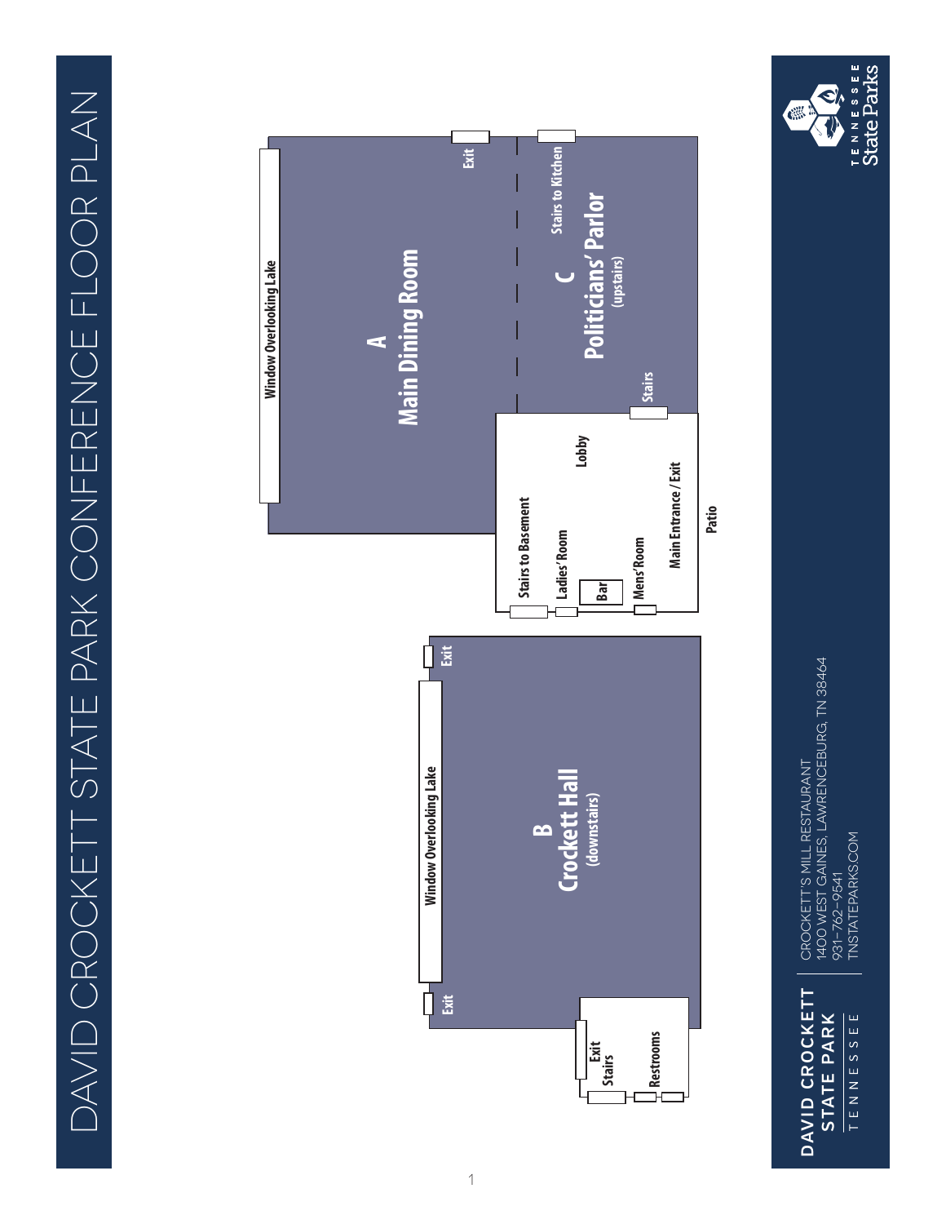

DAVID CROCKETT<br>STATE PARK **DAVID CROCKETT** TENNESSEE **STATE PARK**

CROCKETT'S MILL RESTAURANT<br>1400 WEST GAINES, LAWRENCEBURG, TN 38464<br>931-762-9541 1400 West Gaines, Lawrenceburg, TN 38464 Crockett's Mill Restaurant TNSTATEPARKS.COM tnstateparks.com 931-762-9541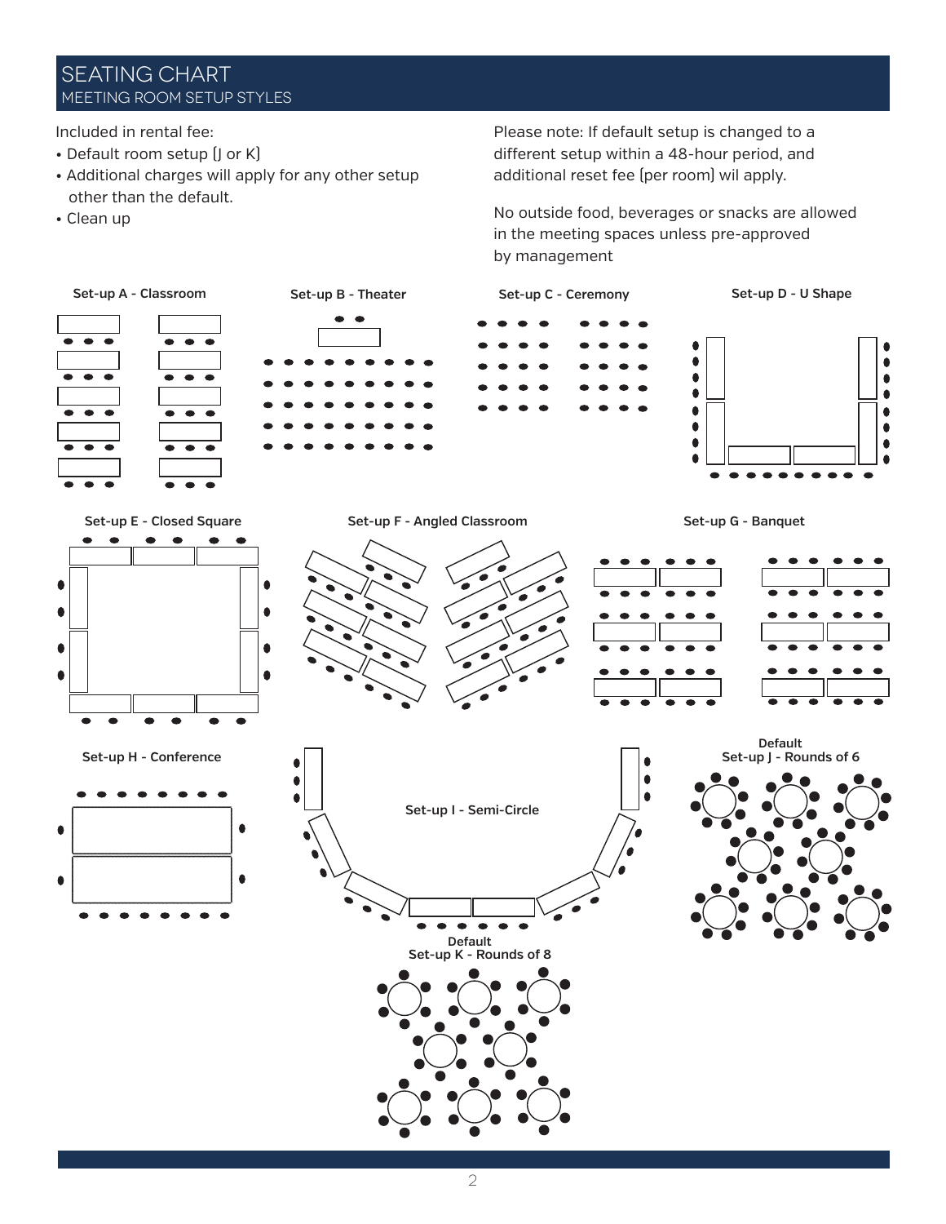## **SEATING CHART** MEETING ROOM SETUP STYLES

Included in rental fee: Included in rental fee:

- Default room setup  $\left[ \right]$  or K)
- Additional charges will apply for any other setup other than the default.
- Clean up Clean up

Please note: If custom setup is changed to a different setup within a  $+$ o fiour period, and  $\frac{1}{2}$ additional reset fee (per room) wil apply.<br>' Please note: If default setup is changed to a different setup within a 48-hour period, and

No outside food, beverages or snacks are allowed in No outside food, beverages or snacks are allowed in the meeting spaces unless pre-approved<br>. by management

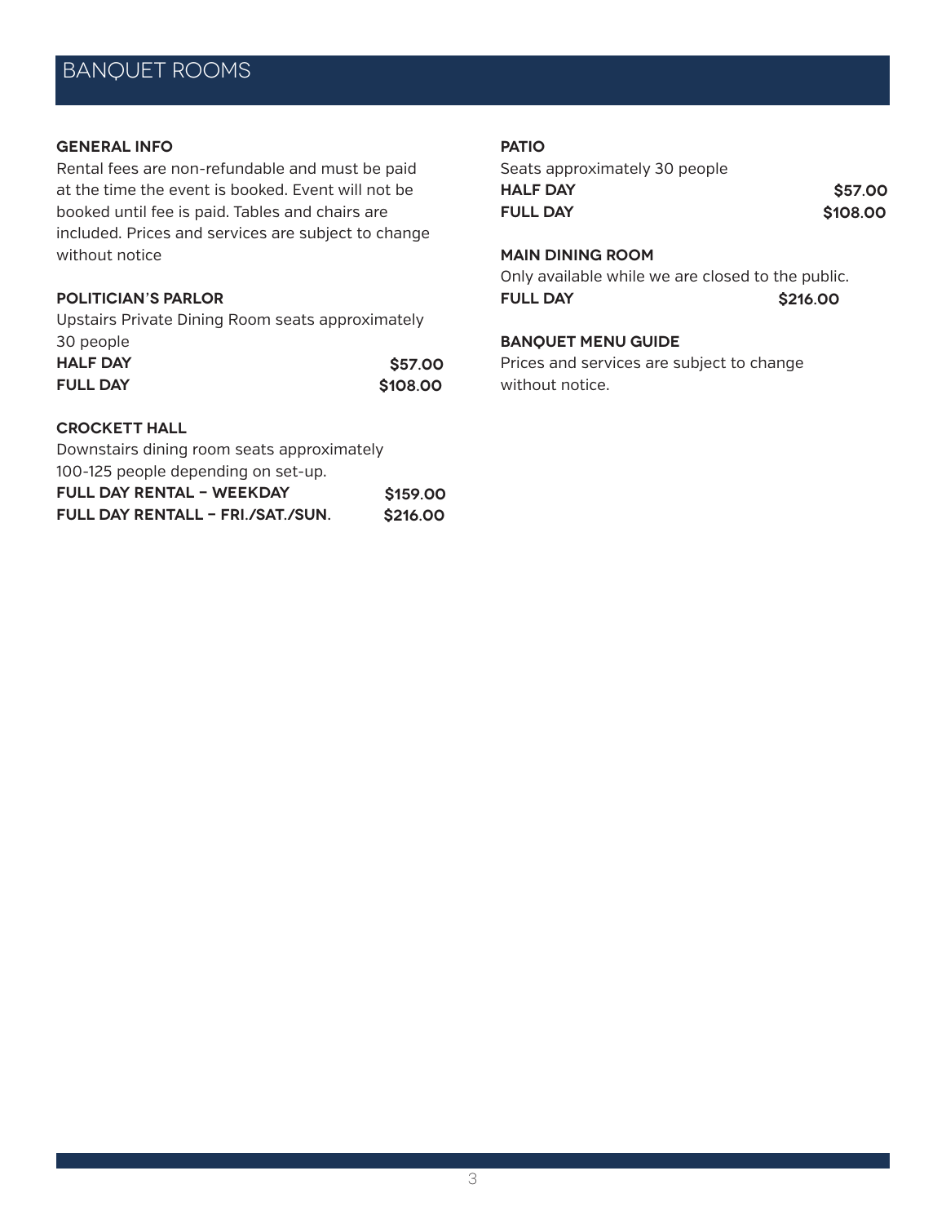#### **GENERAL INFO**

Rental fees are non-refundable and must be paid at the time the event is booked. Event will not be booked until fee is paid. Tables and chairs are included. Prices and services are subject to change without notice

## **POLITICIAN'S PARLOR**

Upstairs Private Dining Room seats approximately 30 people **Half Day \$57.00 Full Day \$108.00**

#### **CROCKETT HALL**

Downstairs dining room seats approximately 100-125 people depending on set-up. **Full Day Rental - Weekday \$159.00 Full day Rentall - Fri./sat./sun. \$216.00**

#### **PATIO**

Seats approximately 30 people **Half Day \$57.00 Full Day \$108.00**

## **MAIN DINING ROOM**

Only available while we are closed to the public. **Full Day \$216.00**

## **BANQUET MENU GUIDE**

Prices and services are subject to change without notice.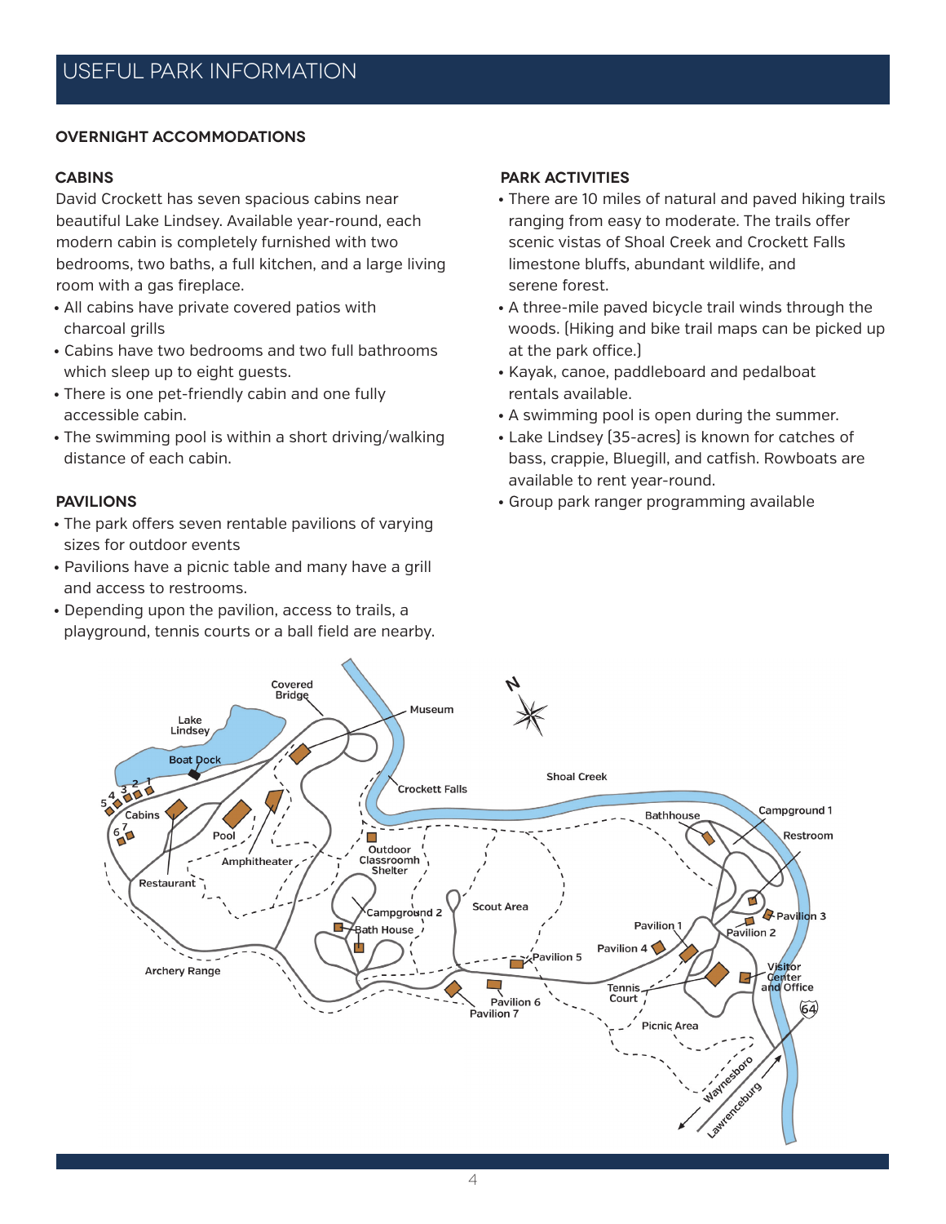#### **Overnight Accommodations**

## **Cabins**

David Crockett has seven spacious cabins near beautiful Lake Lindsey. Available year-round, each modern cabin is completely furnished with two bedrooms, two baths, a full kitchen, and a large living room with a gas fireplace.

- All cabins have private covered patios with charcoal grills
- Cabins have two bedrooms and two full bathrooms which sleep up to eight guests.
- There is one pet-friendly cabin and one fully accessible cabin.
- The swimming pool is within a short driving/walking distance of each cabin.

## **Pavilions**

- The park offers seven rentable pavilions of varying sizes for outdoor events
- Pavilions have a picnic table and many have a grill and access to restrooms.
- Depending upon the pavilion, access to trails, a playground, tennis courts or a ball field are nearby.

## **Park Activities**

- There are 10 miles of natural and paved hiking trails ranging from easy to moderate. The trails offer scenic vistas of Shoal Creek and Crockett Falls limestone bluffs, abundant wildlife, and serene forest.
- A three-mile paved bicycle trail winds through the woods. (Hiking and bike trail maps can be picked up at the park office.)
- Kayak, canoe, paddleboard and pedalboat rentals available.
- A swimming pool is open during the summer.
- Lake Lindsey (35-acres) is known for catches of bass, crappie, Bluegill, and catfish. Rowboats are available to rent year-round.
- Group park ranger programming available

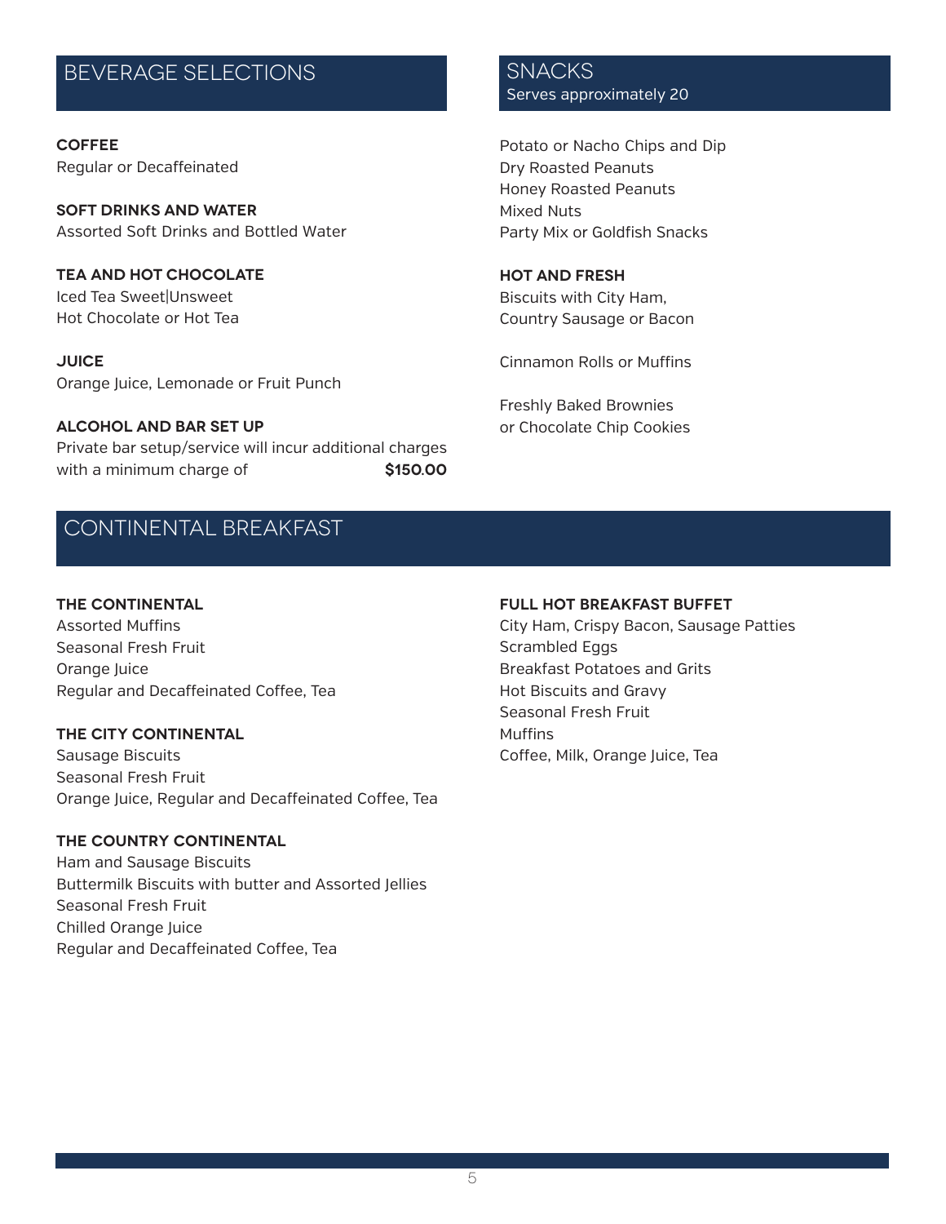# BEVERAGE SELECTIONS SNACKS

**COFFEE** Regular or Decaffeinated

**SOFT DRINKS and WATER** Assorted Soft Drinks and Bottled Water

**TEA and HOT CHOCOLATE** Iced Tea Sweet|Unsweet Hot Chocolate or Hot Tea

**JUICE** Orange Juice, Lemonade or Fruit Punch

**ALCOHOL AND BAR SET UP** Private bar setup/service will incur additional charges with a minimum charge of **\$150.00** 

# Continental breakfast

## **THE CONTINENTAL**

Assorted Muffins Seasonal Fresh Fruit Orange Juice Regular and Decaffeinated Coffee, Tea

#### **THE CITY CONTINENTAL**

Sausage Biscuits Seasonal Fresh Fruit Orange Juice, Regular and Decaffeinated Coffee, Tea

#### **THE COUNTRY CONTINENTAL**

Ham and Sausage Biscuits Buttermilk Biscuits with butter and Assorted Jellies Seasonal Fresh Fruit Chilled Orange Juice Regular and Decaffeinated Coffee, Tea

Serves approximately 20

Potato or Nacho Chips and Dip Dry Roasted Peanuts Honey Roasted Peanuts Mixed Nuts Party Mix or Goldfish Snacks

#### **HOT and FRESH**

Biscuits with City Ham, Country Sausage or Bacon

Cinnamon Rolls or Muffins

Freshly Baked Brownies or Chocolate Chip Cookies

## **FULL HOT BREAKFAST BUFFET**

City Ham, Crispy Bacon, Sausage Patties Scrambled Eggs Breakfast Potatoes and Grits Hot Biscuits and Gravy Seasonal Fresh Fruit **Muffins** Coffee, Milk, Orange Juice, Tea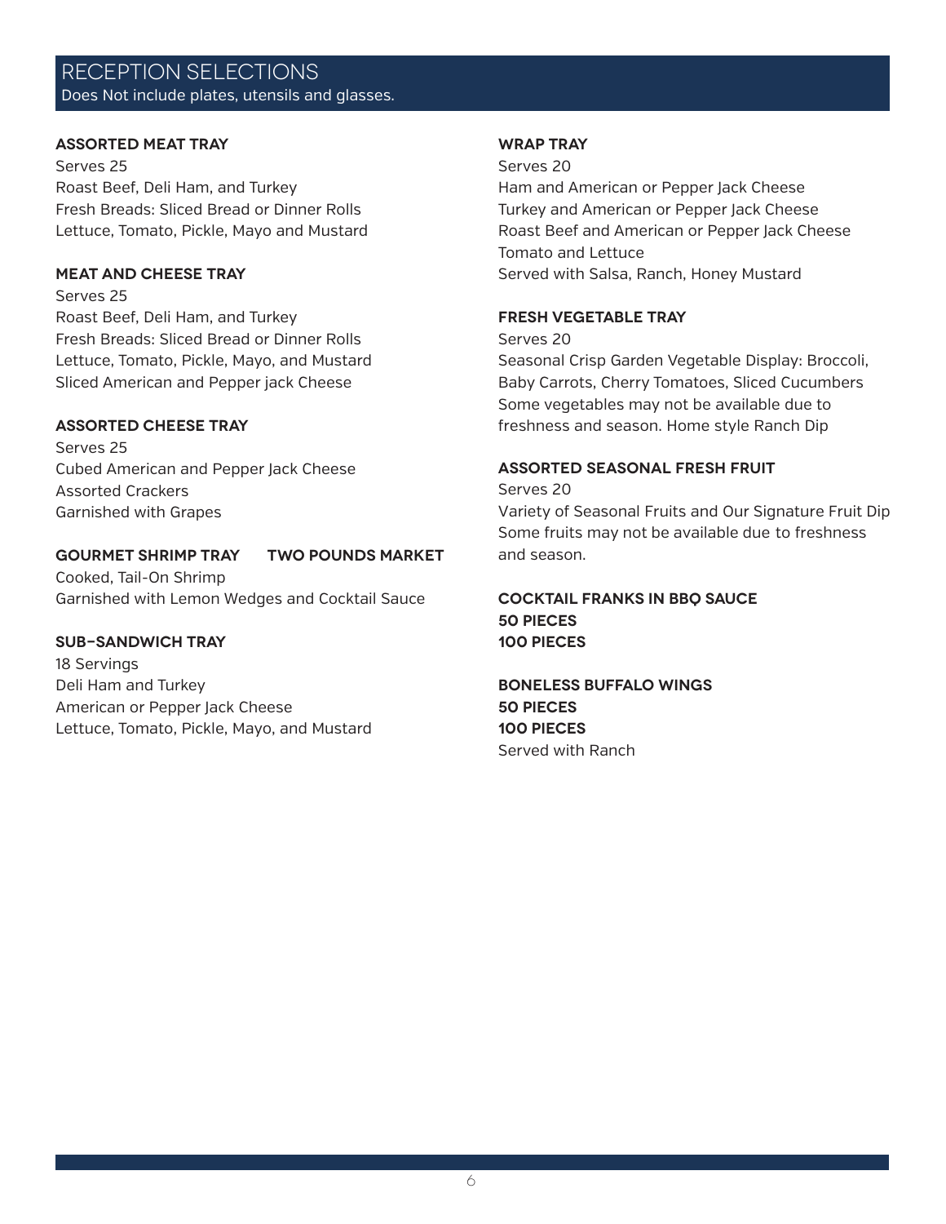## reception SELECTIONS Does Not include plates, utensils and glasses.

#### **ASSORTED MEAT TRAY**

Serves 25 Roast Beef, Deli Ham, and Turkey Fresh Breads: Sliced Bread or Dinner Rolls Lettuce, Tomato, Pickle, Mayo and Mustard

## **MEAT and CHEESE TRAY**

Serves 25 Roast Beef, Deli Ham, and Turkey Fresh Breads: Sliced Bread or Dinner Rolls Lettuce, Tomato, Pickle, Mayo, and Mustard Sliced American and Pepper jack Cheese

## **ASSORTED CHEESE TRAY**

Serves 25 Cubed American and Pepper Jack Cheese Assorted Crackers Garnished with Grapes

## **GOURMET SHRIMP TRAY Two Pounds Market**

Cooked, Tail-On Shrimp Garnished with Lemon Wedges and Cocktail Sauce

## **SUB-SANDWICH TRAY**

18 Servings Deli Ham and Turkey American or Pepper Jack Cheese Lettuce, Tomato, Pickle, Mayo, and Mustard

#### **WRAP TRAY**

Serves 20

Ham and American or Pepper Jack Cheese Turkey and American or Pepper Jack Cheese Roast Beef and American or Pepper Jack Cheese Tomato and Lettuce Served with Salsa, Ranch, Honey Mustard

#### **FRESH VEGETABLE TRAY**

Serves 20

Seasonal Crisp Garden Vegetable Display: Broccoli, Baby Carrots, Cherry Tomatoes, Sliced Cucumbers Some vegetables may not be available due to freshness and season. Home style Ranch Dip

#### **ASSORTED SEASONAL FRESH FRUIT**

Serves 20

Variety of Seasonal Fruits and Our Signature Fruit Dip Some fruits may not be available due to freshness and season.

**COCKTAIL FRANKS in BBQ Sauce 50 Pieces 100 Pieces**

**BONELESS BUFFALO WINGS 50 Pieces 100 Pieces** Served with Ranch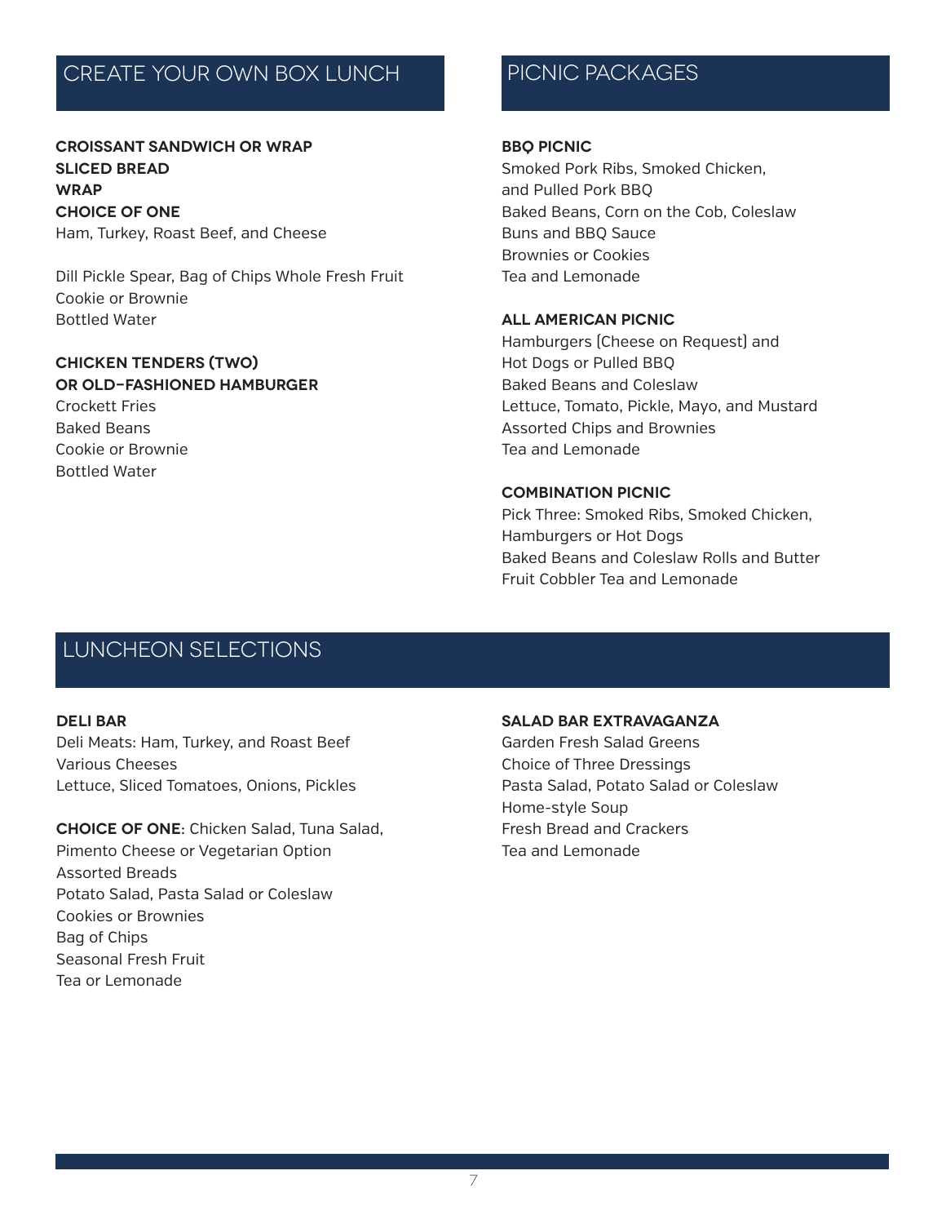# create your own box lunch

**CROISSANT SANDWICH or WRAP Sliced Bread Wrap Choice of One**  Ham, Turkey, Roast Beef, and Cheese

Dill Pickle Spear, Bag of Chips Whole Fresh Fruit Cookie or Brownie Bottled Water

## **CHICKEN TENDERS (two) or OLD-FASHIONED HAMBURGER**  Crockett Fries Baked Beans Cookie or Brownie Bottled Water

# picnic packages

#### **BBQ PICNIC**

Smoked Pork Ribs, Smoked Chicken, and Pulled Pork BBQ Baked Beans, Corn on the Cob, Coleslaw Buns and BBQ Sauce Brownies or Cookies Tea and Lemonade

#### **ALL AMERICAN PICNIC**

Hamburgers (Cheese on Request) and Hot Dogs or Pulled BBQ Baked Beans and Coleslaw Lettuce, Tomato, Pickle, Mayo, and Mustard Assorted Chips and Brownies Tea and Lemonade

#### **COMBINATION PICNIC**

Pick Three: Smoked Ribs, Smoked Chicken, Hamburgers or Hot Dogs Baked Beans and Coleslaw Rolls and Butter Fruit Cobbler Tea and Lemonade

## luncheon selections

#### **DELI BAR**

Deli Meats: Ham, Turkey, and Roast Beef Various Cheeses Lettuce, Sliced Tomatoes, Onions, Pickles

**Choice of One:** Chicken Salad, Tuna Salad, Pimento Cheese or Vegetarian Option Assorted Breads Potato Salad, Pasta Salad or Coleslaw Cookies or Brownies Bag of Chips Seasonal Fresh Fruit Tea or Lemonade

#### **SALAD BAR EXTRAVAGANZA**

Garden Fresh Salad Greens Choice of Three Dressings Pasta Salad, Potato Salad or Coleslaw Home-style Soup Fresh Bread and Crackers Tea and Lemonade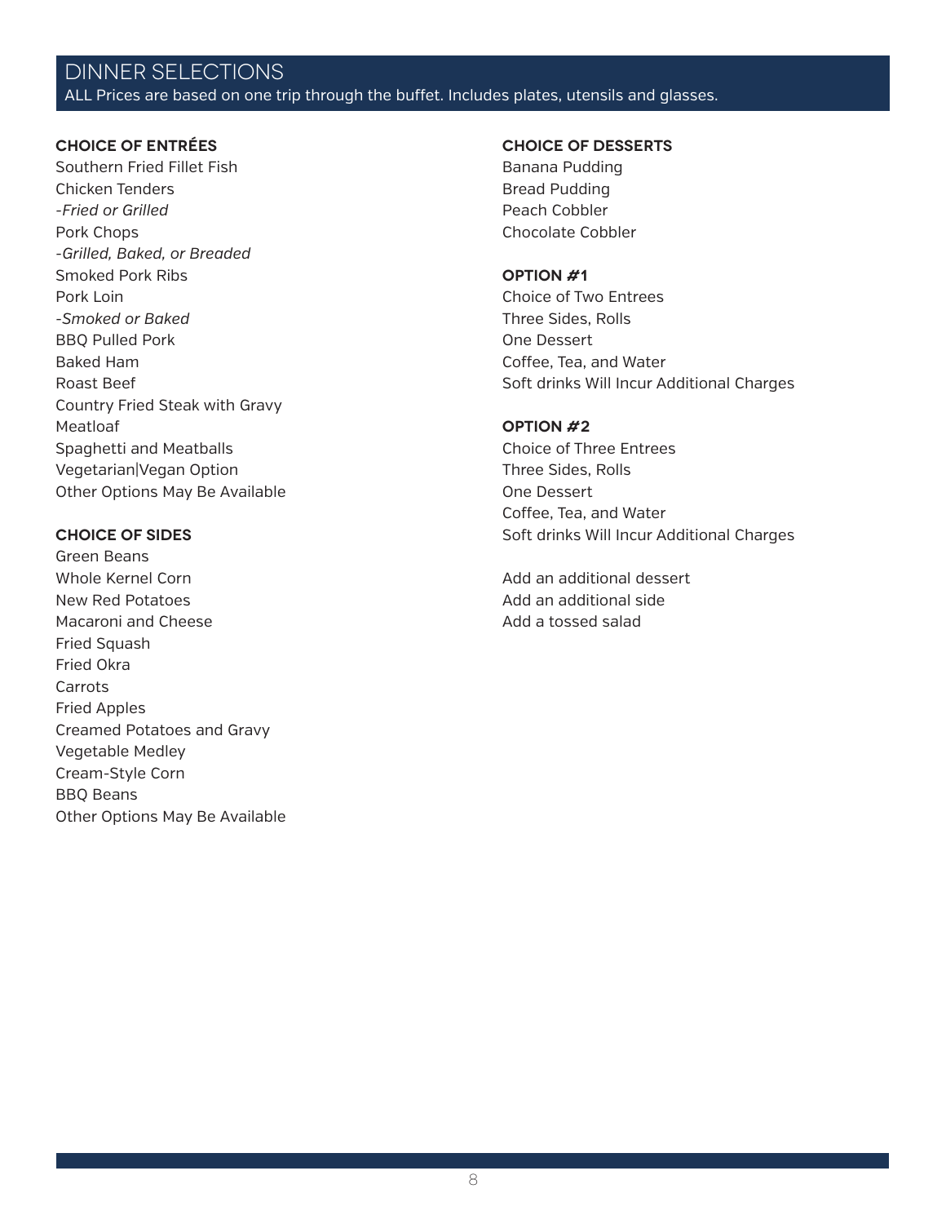# DINNER SELECTIONS

ALL Prices are based on one trip through the buffet. Includes plates, utensils and glasses.

#### **CHOICE OF ENTRÉES**

Southern Fried Fillet Fish Chicken Tenders *-Fried or Grilled* Pork Chops *-Grilled, Baked, or Breaded* Smoked Pork Ribs Pork Loin *-Smoked or Baked* BBQ Pulled Pork Baked Ham Roast Beef Country Fried Steak with Gravy Meatloaf Spaghetti and Meatballs Vegetarian|Vegan Option Other Options May Be Available

#### **CHOICE OF SIDES**

Green Beans Whole Kernel Corn New Red Potatoes Macaroni and Cheese Fried Squash Fried Okra **Carrots** Fried Apples Creamed Potatoes and Gravy Vegetable Medley Cream-Style Corn BBQ Beans Other Options May Be Available

#### **CHOICE OF DESSERTS**

Banana Pudding Bread Pudding Peach Cobbler Chocolate Cobbler

#### **Option #1**

Choice of Two Entrees Three Sides, Rolls One Dessert Coffee, Tea, and Water Soft drinks Will Incur Additional Charges

#### **Option #2**

Choice of Three Entrees Three Sides, Rolls One Dessert Coffee, Tea, and Water Soft drinks Will Incur Additional Charges

Add an additional dessert Add an additional side Add a tossed salad